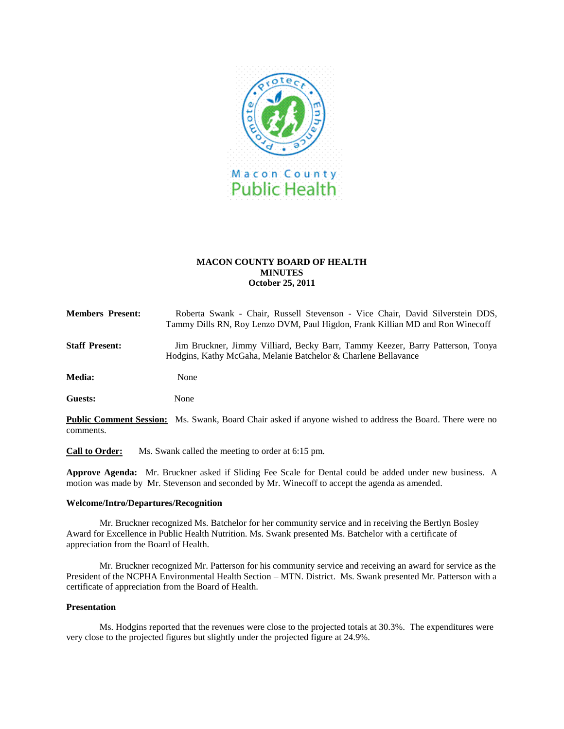

# **MACON COUNTY BOARD OF HEALTH MINUTES October 25, 2011**

| <b>Members Present:</b> | Roberta Swank - Chair, Russell Stevenson - Vice Chair, David Silverstein DDS,<br>Tammy Dills RN, Roy Lenzo DVM, Paul Higdon, Frank Killian MD and Ron Winecoff |
|-------------------------|----------------------------------------------------------------------------------------------------------------------------------------------------------------|
| <b>Staff Present:</b>   | Jim Bruckner, Jimmy Villiard, Becky Barr, Tammy Keezer, Barry Patterson, Tonya<br>Hodgins, Kathy McGaha, Melanie Batchelor & Charlene Bellavance               |
| <b>Media:</b>           | None                                                                                                                                                           |

**Guests:** None

**Public Comment Session:** Ms. Swank, Board Chair asked if anyone wished to address the Board. There were no comments.

**Call to Order:**Ms. Swank called the meeting to order at 6:15 pm.

**Approve Agenda:** Mr. Bruckner asked if Sliding Fee Scale for Dental could be added under new business. A motion was made by Mr. Stevenson and seconded by Mr. Winecoff to accept the agenda as amended.

#### **Welcome/Intro/Departures/Recognition**

Mr. Bruckner recognized Ms. Batchelor for her community service and in receiving the Bertlyn Bosley Award for Excellence in Public Health Nutrition. Ms. Swank presented Ms. Batchelor with a certificate of appreciation from the Board of Health.

Mr. Bruckner recognized Mr. Patterson for his community service and receiving an award for service as the President of the NCPHA Environmental Health Section – MTN. District. Ms. Swank presented Mr. Patterson with a certificate of appreciation from the Board of Health.

## **Presentation**

Ms. Hodgins reported that the revenues were close to the projected totals at 30.3%. The expenditures were very close to the projected figures but slightly under the projected figure at 24.9%.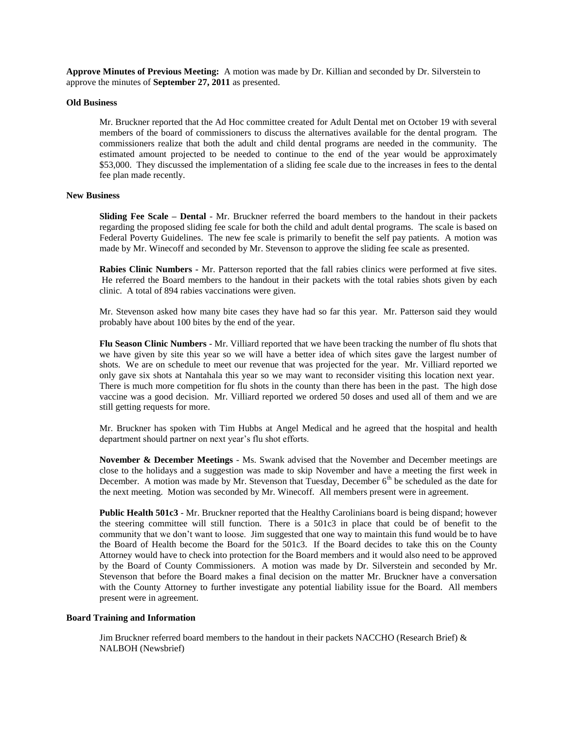**Approve Minutes of Previous Meeting:** A motion was made by Dr. Killian and seconded by Dr. Silverstein to approve the minutes of **September 27, 2011** as presented.

#### **Old Business**

Mr. Bruckner reported that the Ad Hoc committee created for Adult Dental met on October 19 with several members of the board of commissioners to discuss the alternatives available for the dental program. The commissioners realize that both the adult and child dental programs are needed in the community. The estimated amount projected to be needed to continue to the end of the year would be approximately \$53,000. They discussed the implementation of a sliding fee scale due to the increases in fees to the dental fee plan made recently.

#### **New Business**

**Sliding Fee Scale – Dental** - Mr. Bruckner referred the board members to the handout in their packets regarding the proposed sliding fee scale for both the child and adult dental programs. The scale is based on Federal Poverty Guidelines. The new fee scale is primarily to benefit the self pay patients. A motion was made by Mr. Winecoff and seconded by Mr. Stevenson to approve the sliding fee scale as presented.

**Rabies Clinic Numbers -** Mr. Patterson reported that the fall rabies clinics were performed at five sites. He referred the Board members to the handout in their packets with the total rabies shots given by each clinic. A total of 894 rabies vaccinations were given.

Mr. Stevenson asked how many bite cases they have had so far this year. Mr. Patterson said they would probably have about 100 bites by the end of the year.

**Flu Season Clinic Numbers** - Mr. Villiard reported that we have been tracking the number of flu shots that we have given by site this year so we will have a better idea of which sites gave the largest number of shots. We are on schedule to meet our revenue that was projected for the year. Mr. Villiard reported we only gave six shots at Nantahala this year so we may want to reconsider visiting this location next year. There is much more competition for flu shots in the county than there has been in the past. The high dose vaccine was a good decision. Mr. Villiard reported we ordered 50 doses and used all of them and we are still getting requests for more.

Mr. Bruckner has spoken with Tim Hubbs at Angel Medical and he agreed that the hospital and health department should partner on next year's flu shot efforts.

**November & December Meetings** - Ms. Swank advised that the November and December meetings are close to the holidays and a suggestion was made to skip November and have a meeting the first week in December. A motion was made by Mr. Stevenson that Tuesday, December  $6<sup>th</sup>$  be scheduled as the date for the next meeting. Motion was seconded by Mr. Winecoff. All members present were in agreement.

**Public Health 501c3** - Mr. Bruckner reported that the Healthy Carolinians board is being dispand; however the steering committee will still function. There is a 501c3 in place that could be of benefit to the community that we don't want to loose. Jim suggested that one way to maintain this fund would be to have the Board of Health become the Board for the 501c3. If the Board decides to take this on the County Attorney would have to check into protection for the Board members and it would also need to be approved by the Board of County Commissioners. A motion was made by Dr. Silverstein and seconded by Mr. Stevenson that before the Board makes a final decision on the matter Mr. Bruckner have a conversation with the County Attorney to further investigate any potential liability issue for the Board. All members present were in agreement.

### **Board Training and Information**

Jim Bruckner referred board members to the handout in their packets NACCHO (Research Brief)  $\&$ NALBOH (Newsbrief)